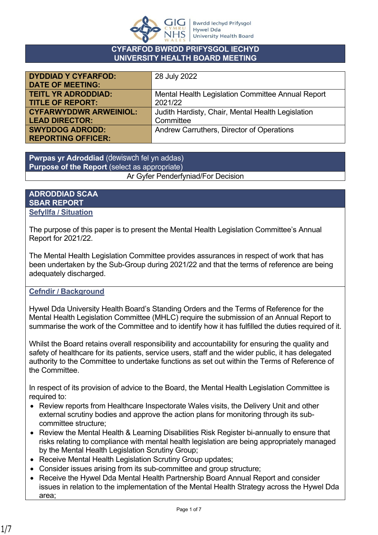

#### **CYFARFOD BWRDD PRIFYSGOL IECHYD UNIVERSITY HEALTH BOARD MEETING**

| <b>DYDDIAD Y CYFARFOD:</b>    | 28 July 2022                                      |
|-------------------------------|---------------------------------------------------|
|                               |                                                   |
| <b>DATE OF MEETING:</b>       |                                                   |
| <b>TEITL YR ADRODDIAD:</b>    | Mental Health Legislation Committee Annual Report |
| <b>TITLE OF REPORT:</b>       | 2021/22                                           |
| <b>CYFARWYDDWR ARWEINIOL:</b> | Judith Hardisty, Chair, Mental Health Legislation |
| <b>LEAD DIRECTOR:</b>         | Committee                                         |
| <b>SWYDDOG ADRODD:</b>        | Andrew Carruthers, Director of Operations         |
| <b>REPORTING OFFICER:</b>     |                                                   |

**Pwrpas yr Adroddiad** (dewiswch fel yn addas) **Purpose of the Report** (select as appropriate) Ar Gyfer Penderfyniad/For Decision

#### **ADRODDIAD SCAA SBAR REPORT Sefyllfa / Situation**

The purpose of this paper is to present the Mental Health Legislation Committee's Annual Report for 2021/22.

The Mental Health Legislation Committee provides assurances in respect of work that has been undertaken by the Sub-Group during 2021/22 and that the terms of reference are being adequately discharged.

## **Cefndir / Background**

Hywel Dda University Health Board's Standing Orders and the Terms of Reference for the Mental Health Legislation Committee (MHLC) require the submission of an Annual Report to summarise the work of the Committee and to identify how it has fulfilled the duties required of it.

Whilst the Board retains overall responsibility and accountability for ensuring the quality and safety of healthcare for its patients, service users, staff and the wider public, it has delegated authority to the Committee to undertake functions as set out within the Terms of Reference of the Committee.

In respect of its provision of advice to the Board, the Mental Health Legislation Committee is required to:

- Review reports from Healthcare Inspectorate Wales visits, the Delivery Unit and other external scrutiny bodies and approve the action plans for monitoring through its subcommittee structure;
- Review the Mental Health & Learning Disabilities Risk Register bi-annually to ensure that risks relating to compliance with mental health legislation are being appropriately managed by the Mental Health Legislation Scrutiny Group;
- Receive Mental Health Legislation Scrutiny Group updates;
- Consider issues arising from its sub-committee and group structure;
- Receive the Hywel Dda Mental Health Partnership Board Annual Report and consider issues in relation to the implementation of the Mental Health Strategy across the Hywel Dda area;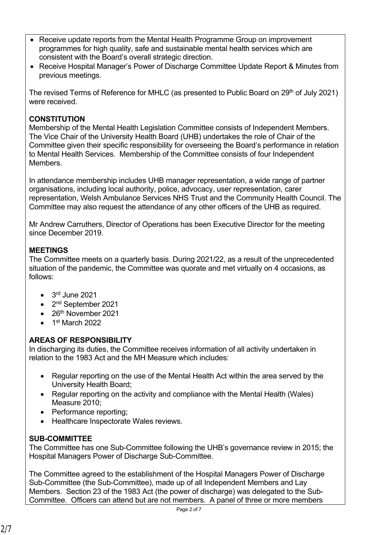- Receive update reports from the Mental Health Programme Group on improvement programmes for high quality, safe and sustainable mental health services which are consistent with the Board's overall strategic direction.
- Receive Hospital Manager's Power of Discharge Committee Update Report & Minutes from previous meetings.

The revised Terms of Reference for MHLC (as presented to Public Board on  $29<sup>th</sup>$  of July 2021) were received.

# **CONSTITUTION**

Membership of the Mental Health Legislation Committee consists of Independent Members. The Vice Chair of the University Health Board (UHB) undertakes the role of Chair of the Committee given their specific responsibility for overseeing the Board's performance in relation to Mental Health Services. Membership of the Committee consists of four Independent Members.

In attendance membership includes UHB manager representation, a wide range of partner organisations, including local authority, police, advocacy, user representation, carer representation, Welsh Ambulance Services NHS Trust and the Community Health Council. The Committee may also request the attendance of any other officers of the UHB as required.

Mr Andrew Carruthers, Director of Operations has been Executive Director for the meeting since December 2019.

## **MEETINGS**

The Committee meets on a quarterly basis. During 2021/22, as a result of the unprecedented situation of the pandemic, the Committee was quorate and met virtually on 4 occasions, as follows:

- $\bullet$  3<sup>rd</sup> June 2021
- 2<sup>nd</sup> September 2021
- 26<sup>th</sup> November 2021
- 1<sup>st</sup> March 2022

## **AREAS OF RESPONSIBILITY**

In discharging its duties, the Committee receives information of all activity undertaken in relation to the 1983 Act and the MH Measure which includes:

- Regular reporting on the use of the Mental Health Act within the area served by the University Health Board;
- Regular reporting on the activity and compliance with the Mental Health (Wales) Measure 2010;
- Performance reporting:
- Healthcare Inspectorate Wales reviews.

## **SUB-COMMITTEE**

The Committee has one Sub-Committee following the UHB's governance review in 2015; the Hospital Managers Power of Discharge Sub-Committee.

The Committee agreed to the establishment of the Hospital Managers Power of Discharge Sub-Committee (the Sub-Committee), made up of all Independent Members and Lay Members. Section 23 of the 1983 Act (the power of discharge) was delegated to the Sub-Committee. Officers can attend but are not members. A panel of three or more members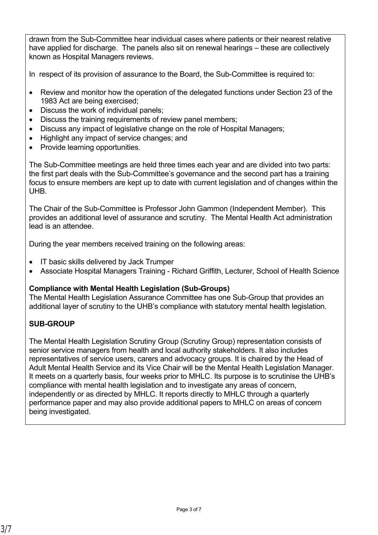drawn from the Sub-Committee hear individual cases where patients or their nearest relative have applied for discharge. The panels also sit on renewal hearings – these are collectively known as Hospital Managers reviews.

In respect of its provision of assurance to the Board, the Sub-Committee is required to:

- Review and monitor how the operation of the delegated functions under Section 23 of the 1983 Act are being exercised;
- Discuss the work of individual panels;
- Discuss the training requirements of review panel members;
- Discuss any impact of legislative change on the role of Hospital Managers;
- Highlight any impact of service changes; and
- Provide learning opportunities.

The Sub-Committee meetings are held three times each year and are divided into two parts: the first part deals with the Sub-Committee's governance and the second part has a training focus to ensure members are kept up to date with current legislation and of changes within the UHB.

The Chair of the Sub-Committee is Professor John Gammon (Independent Member). This provides an additional level of assurance and scrutiny. The Mental Health Act administration lead is an attendee.

During the year members received training on the following areas:

- IT basic skills delivered by Jack Trumper
- Associate Hospital Managers Training Richard Griffith, Lecturer, School of Health Science

#### **Compliance with Mental Health Legislation (Sub-Groups)**

The Mental Health Legislation Assurance Committee has one Sub-Group that provides an additional layer of scrutiny to the UHB's compliance with statutory mental health legislation.

## **SUB-GROUP**

The Mental Health Legislation Scrutiny Group (Scrutiny Group) representation consists of senior service managers from health and local authority stakeholders. It also includes representatives of service users, carers and advocacy groups. It is chaired by the Head of Adult Mental Health Service and its Vice Chair will be the Mental Health Legislation Manager. It meets on a quarterly basis, four weeks prior to MHLC. Its purpose is to scrutinise the UHB's compliance with mental health legislation and to investigate any areas of concern, independently or as directed by MHLC. It reports directly to MHLC through a quarterly performance paper and may also provide additional papers to MHLC on areas of concern being investigated.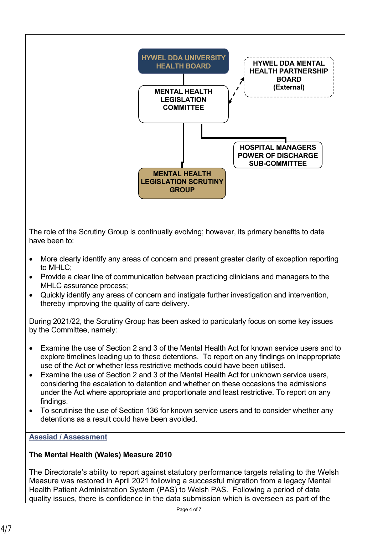

The role of the Scrutiny Group is continually evolving; however, its primary benefits to date have been to:

- More clearly identify any areas of concern and present greater clarity of exception reporting to MHLC;
- Provide a clear line of communication between practicing clinicians and managers to the MHLC assurance process;
- Quickly identify any areas of concern and instigate further investigation and intervention, thereby improving the quality of care delivery.

During 2021/22, the Scrutiny Group has been asked to particularly focus on some key issues by the Committee, namely:

- Examine the use of Section 2 and 3 of the Mental Health Act for known service users and to explore timelines leading up to these detentions. To report on any findings on inappropriate use of the Act or whether less restrictive methods could have been utilised.
- Examine the use of Section 2 and 3 of the Mental Health Act for unknown service users. considering the escalation to detention and whether on these occasions the admissions under the Act where appropriate and proportionate and least restrictive. To report on any findings.
- To scrutinise the use of Section 136 for known service users and to consider whether any detentions as a result could have been avoided.

#### **Asesiad / Assessment**

## **The Mental Health (Wales) Measure 2010**

The Directorate's ability to report against statutory performance targets relating to the Welsh Measure was restored in April 2021 following a successful migration from a legacy Mental Health Patient Administration System (PAS) to Welsh PAS. Following a period of data quality issues, there is confidence in the data submission which is overseen as part of the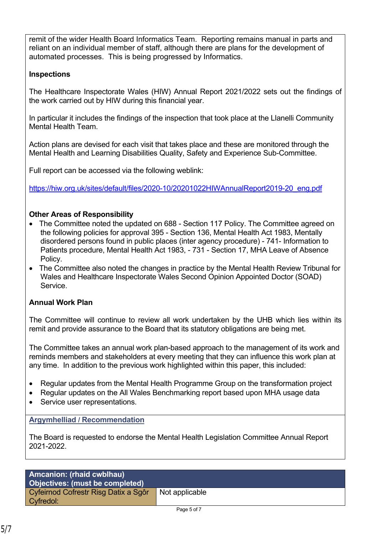remit of the wider Health Board Informatics Team. Reporting remains manual in parts and reliant on an individual member of staff, although there are plans for the development of automated processes. This is being progressed by Informatics.

## **Inspections**

The Healthcare Inspectorate Wales (HIW) Annual Report 2021/2022 sets out the findings of the work carried out by HIW during this financial year.

In particular it includes the findings of the inspection that took place at the Llanelli Community Mental Health Team.

Action plans are devised for each visit that takes place and these are monitored through the Mental Health and Learning Disabilities Quality, Safety and Experience Sub-Committee.

Full report can be accessed via the following weblink:

[https://hiw.org.uk/sites/default/files/2020-10/20201022HIWAnnualReport2019-20\\_eng.pdf](https://hiw.org.uk/sites/default/files/2020-10/20201022HIWAnnualReport2019-20_eng.pdf)

# **Other Areas of Responsibility**

- The Committee noted the updated on 688 Section 117 Policy. The Committee agreed on the following policies for approval 395 - Section 136, Mental Health Act 1983, Mentally disordered persons found in public places (inter agency procedure) - 741- Information to Patients procedure, Mental Health Act 1983, - 731 - Section 17, MHA Leave of Absence Policy.
- The Committee also noted the changes in practice by the Mental Health Review Tribunal for Wales and Healthcare Inspectorate Wales Second Opinion Appointed Doctor (SOAD) Service.

## **Annual Work Plan**

The Committee will continue to review all work undertaken by the UHB which lies within its remit and provide assurance to the Board that its statutory obligations are being met.

The Committee takes an annual work plan-based approach to the management of its work and reminds members and stakeholders at every meeting that they can influence this work plan at any time. In addition to the previous work highlighted within this paper, this included:

- Regular updates from the Mental Health Programme Group on the transformation project
- Regular updates on the All Wales Benchmarking report based upon MHA usage data
- Service user representations.

## **Argymhelliad / Recommendation**

The Board is requested to endorse the Mental Health Legislation Committee Annual Report 2021-2022.

#### **Amcanion: (rhaid cwblhau) Objectives: (must be completed)** Cyfeirnod Cofrestr Risg Datix a Sgôr Cyfredol:

Page 5 of 7

Not applicable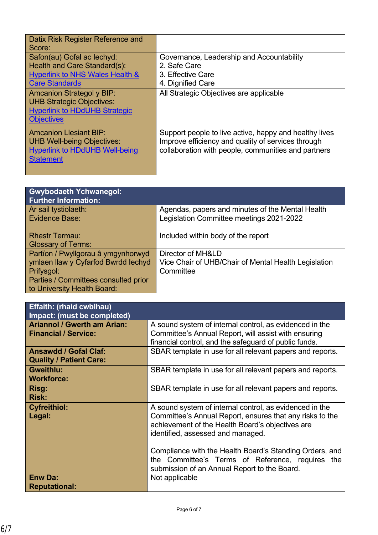| Datix Risk Register Reference and<br>Score:                                                                                       |                                                                                                                                                                     |
|-----------------------------------------------------------------------------------------------------------------------------------|---------------------------------------------------------------------------------------------------------------------------------------------------------------------|
| Safon(au) Gofal ac lechyd:<br>Health and Care Standard(s):                                                                        | Governance, Leadership and Accountability<br>2. Safe Care                                                                                                           |
| <b>Hyperlink to NHS Wales Health &amp;</b><br><b>Care Standards</b>                                                               | 3. Effective Care<br>4. Dignified Care                                                                                                                              |
| <b>Amcanion Strategol y BIP:</b><br><b>UHB Strategic Objectives:</b><br><b>Hyperlink to HDdUHB Strategic</b><br><b>Objectives</b> | All Strategic Objectives are applicable                                                                                                                             |
| <b>Amcanion Llesiant BIP:</b><br><b>UHB Well-being Objectives:</b><br><b>Hyperlink to HDdUHB Well-being</b><br><b>Statement</b>   | Support people to live active, happy and healthy lives<br>Improve efficiency and quality of services through<br>collaboration with people, communities and partners |

| <b>Gwybodaeth Ychwanegol:</b><br><b>Further Information:</b> |                                                      |
|--------------------------------------------------------------|------------------------------------------------------|
| Ar sail tystiolaeth:                                         | Agendas, papers and minutes of the Mental Health     |
| Evidence Base:                                               | Legislation Committee meetings 2021-2022             |
| <b>Rhestr Termau:</b>                                        | Included within body of the report                   |
| <b>Glossary of Terms:</b>                                    |                                                      |
| Partïon / Pwyllgorau â ymgynhorwyd                           | Director of MH&LD                                    |
| ymlaen llaw y Cyfarfod Bwrdd Iechyd                          | Vice Chair of UHB/Chair of Mental Health Legislation |
| Prifysgol:                                                   | Committee                                            |
| Parties / Committees consulted prior                         |                                                      |
| to University Health Board:                                  |                                                      |

| <b>Effaith: (rhaid cwblhau)</b>                                   |                                                                                                                                                                                                                                                                                                                                                                             |
|-------------------------------------------------------------------|-----------------------------------------------------------------------------------------------------------------------------------------------------------------------------------------------------------------------------------------------------------------------------------------------------------------------------------------------------------------------------|
| Impact: (must be completed)                                       |                                                                                                                                                                                                                                                                                                                                                                             |
| <b>Ariannol / Gwerth am Arian:</b><br><b>Financial / Service:</b> | A sound system of internal control, as evidenced in the<br>Committee's Annual Report, will assist with ensuring<br>financial control, and the safeguard of public funds.                                                                                                                                                                                                    |
| <b>Ansawdd / Gofal Claf:</b><br><b>Quality / Patient Care:</b>    | SBAR template in use for all relevant papers and reports.                                                                                                                                                                                                                                                                                                                   |
| <b>Gweithlu:</b><br><b>Workforce:</b>                             | SBAR template in use for all relevant papers and reports.                                                                                                                                                                                                                                                                                                                   |
| Risg:<br><b>Risk:</b>                                             | SBAR template in use for all relevant papers and reports.                                                                                                                                                                                                                                                                                                                   |
| <b>Cyfreithiol:</b><br>Legal:                                     | A sound system of internal control, as evidenced in the<br>Committee's Annual Report, ensures that any risks to the<br>achievement of the Health Board's objectives are<br>identified, assessed and managed.<br>Compliance with the Health Board's Standing Orders, and<br>the Committee's Terms of Reference, requires the<br>submission of an Annual Report to the Board. |
| <b>Enw Da:</b><br><b>Reputational:</b>                            | Not applicable                                                                                                                                                                                                                                                                                                                                                              |